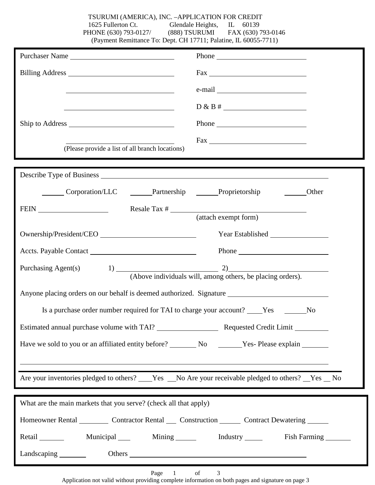TSURUMI (AMERICA), INC. –APPLICATION FOR CREDIT 1625 Fullerton Ct. Glendale Heights, IL 60139 PHONE (630) 793-0127/ (888) TSURUMI FAX (630) 793-0146 (Payment Remittance To: Dept. CH 17711; Palatine, IL 60055-7711)

| Purchaser Name                                                                                                       |                                                                                                                                                                                                                                |  |  |
|----------------------------------------------------------------------------------------------------------------------|--------------------------------------------------------------------------------------------------------------------------------------------------------------------------------------------------------------------------------|--|--|
|                                                                                                                      | $\frac{Fax}{2}$                                                                                                                                                                                                                |  |  |
| <u> 1989 - Johann Barbara, martin amerikan basar dan berasal dalam basa dalam basar dalam basar dalam basar dala</u> |                                                                                                                                                                                                                                |  |  |
|                                                                                                                      | $D & B # \_$                                                                                                                                                                                                                   |  |  |
|                                                                                                                      |                                                                                                                                                                                                                                |  |  |
|                                                                                                                      |                                                                                                                                                                                                                                |  |  |
| (Please provide a list of all branch locations)                                                                      |                                                                                                                                                                                                                                |  |  |
|                                                                                                                      |                                                                                                                                                                                                                                |  |  |
| Corporation/LLC _______Partnership ______Proprietorship _______Other                                                 |                                                                                                                                                                                                                                |  |  |
|                                                                                                                      |                                                                                                                                                                                                                                |  |  |
|                                                                                                                      | (attach exempt form)                                                                                                                                                                                                           |  |  |
| Ownership/President/CEO                                                                                              |                                                                                                                                                                                                                                |  |  |
|                                                                                                                      |                                                                                                                                                                                                                                |  |  |
| Purchasing Agent(s) $1)$ (Above individuals will, among others, be placing orders).                                  |                                                                                                                                                                                                                                |  |  |
| Anyone placing orders on our behalf is deemed authorized. Signature ________________________________                 |                                                                                                                                                                                                                                |  |  |
|                                                                                                                      |                                                                                                                                                                                                                                |  |  |
|                                                                                                                      | No                                                                                                                                                                                                                             |  |  |
|                                                                                                                      |                                                                                                                                                                                                                                |  |  |
| Have we sold to you or an affiliated entity before? No No Yes- Please explain                                        |                                                                                                                                                                                                                                |  |  |
|                                                                                                                      |                                                                                                                                                                                                                                |  |  |
| Are your inventories pledged to others? ____Yes ___No Are your receivable pledged to others? __Yes __ No             |                                                                                                                                                                                                                                |  |  |
| What are the main markets that you serve? (check all that apply)                                                     |                                                                                                                                                                                                                                |  |  |
| Homeowner Rental _________ Contractor Rental ____ Construction _______ Contract Dewatering ______                    |                                                                                                                                                                                                                                |  |  |
|                                                                                                                      |                                                                                                                                                                                                                                |  |  |
| Retail Municipal Mining Mining Industry Fish Farming                                                                 |                                                                                                                                                                                                                                |  |  |
| Landscaping $\_\_\_\_\_\_\_\$                                                                                        | Others experience and the set of the set of the set of the set of the set of the set of the set of the set of the set of the set of the set of the set of the set of the set of the set of the set of the set of the set of th |  |  |

Page 1 of 3

Application not valid without providing complete information on both pages and signature on page 3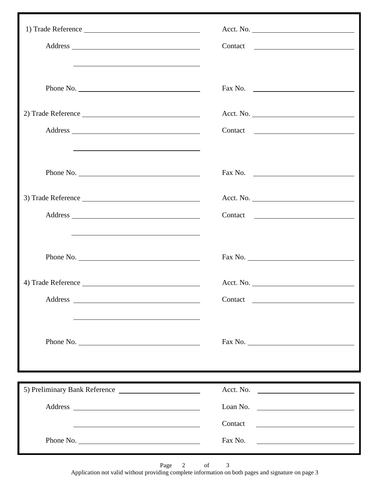|                                                                                   | Acct. No.                |
|-----------------------------------------------------------------------------------|--------------------------|
|                                                                                   |                          |
|                                                                                   |                          |
| Phone No.                                                                         | Fax No. $\qquad \qquad$  |
|                                                                                   |                          |
|                                                                                   |                          |
|                                                                                   |                          |
| <u> 1989 - Andrea Andrew Maria (h. 1989).</u>                                     |                          |
| Phone No.                                                                         | Fax No. $\qquad \qquad$  |
|                                                                                   |                          |
|                                                                                   |                          |
|                                                                                   |                          |
| <u> 1989 - Johann Stoff, amerikansk politiker (* 1908)</u>                        |                          |
|                                                                                   |                          |
| Phone No.                                                                         |                          |
| 4) Trade Reference                                                                |                          |
|                                                                                   |                          |
|                                                                                   |                          |
|                                                                                   |                          |
| Phone No.                                                                         | Fax No.                  |
| ,我们也不会有什么。""我们的人,我们也不会有什么?""我们的人,我们也不会有什么?""我们的人,我们的人,我们的人,我们的人,我们的人,我们的人,我们的人,我们 |                          |
|                                                                                   |                          |
|                                                                                   | Acct. No.                |
|                                                                                   | Loan No. $\qquad \qquad$ |
|                                                                                   | Contact                  |
| Phone No.                                                                         |                          |

Page 2 of 3

Application not valid without providing complete information on both pages and signature on page 3